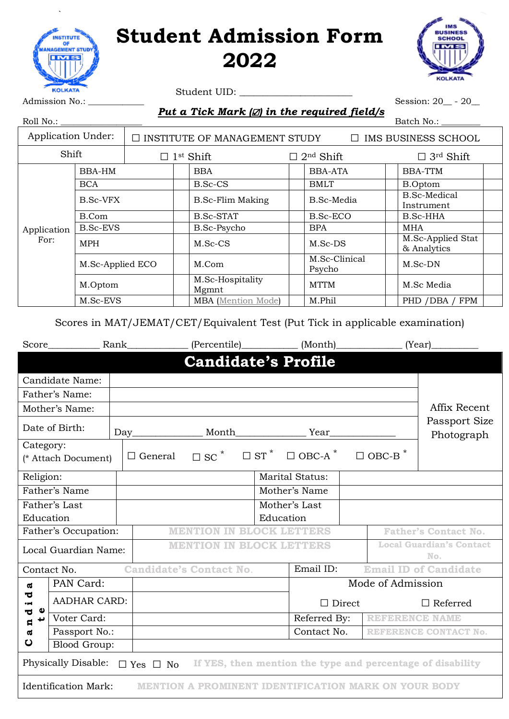## **Student Admission Form 2022**



Student UID: \_\_\_\_\_\_\_\_\_\_\_\_\_\_\_\_\_\_\_\_\_\_\_\_

Session: 20\_\_ - 20\_\_

| Roll No.:                 |                  |                                      |                           |  |                              | Batch No.:                        |  |  |
|---------------------------|------------------|--------------------------------------|---------------------------|--|------------------------------|-----------------------------------|--|--|
| <b>Application Under:</b> |                  | $\Box$ INSTITUTE OF MANAGEMENT STUDY |                           |  |                              | $\Box$ IMS BUSINESS SCHOOL        |  |  |
| Shift                     |                  | $\Box$ 1 <sup>st</sup> Shift         |                           |  | $\Box$ 2 <sup>nd</sup> Shift | $\Box$ 3rd Shift                  |  |  |
|                           | BBA-HM           |                                      | <b>BBA</b>                |  | <b>BBA-ATA</b>               | <b>BBA-TTM</b>                    |  |  |
|                           | <b>BCA</b>       |                                      | <b>B.Sc-CS</b>            |  | <b>BMLT</b>                  | <b>B.Optom</b>                    |  |  |
|                           | B.Sc-VFX         |                                      | <b>B.Sc-Flim Making</b>   |  | B.Sc-Media                   | <b>B.Sc-Medical</b><br>Instrument |  |  |
|                           | B.Com            |                                      | <b>B.Sc-STAT</b>          |  | <b>B.Sc-ECO</b>              | B.Sc-HHA                          |  |  |
| Application<br>For:       | <b>B.Sc-EVS</b>  |                                      | B.Sc-Psycho               |  | <b>BPA</b>                   | MHA                               |  |  |
|                           | <b>MPH</b>       |                                      | M.Sc-CS                   |  | M.Sc-DS                      | M.Sc-Applied Stat<br>& Analytics  |  |  |
|                           | M.Sc-Applied ECO |                                      | M.Com                     |  | M.Sc-Clinical<br>Psycho      | M.Sc-DN                           |  |  |
|                           | M.Optom          |                                      | M.Sc-Hospitality<br>Mgmnt |  | <b>MTTM</b>                  | M.Sc Media                        |  |  |
|                           | M.Sc-EVS         |                                      | <b>MBA</b> (Mention Mode) |  | M.Phil                       | PHD / DBA / FPM                   |  |  |

Scores in MAT/JEMAT/CET/Equivalent Test (Put Tick in applicable examination)

|                                                                                                        | Score                                                                                      | Rank |                                 |                                                                                                                                             |           |                        |  | (Year)                       |                                        |
|--------------------------------------------------------------------------------------------------------|--------------------------------------------------------------------------------------------|------|---------------------------------|---------------------------------------------------------------------------------------------------------------------------------------------|-----------|------------------------|--|------------------------------|----------------------------------------|
|                                                                                                        |                                                                                            |      |                                 | <b>Candidate's Profile</b>                                                                                                                  |           |                        |  |                              |                                        |
|                                                                                                        | Candidate Name:                                                                            |      |                                 |                                                                                                                                             |           |                        |  |                              |                                        |
|                                                                                                        | Father's Name:                                                                             |      |                                 |                                                                                                                                             |           |                        |  |                              |                                        |
| Mother's Name:                                                                                         |                                                                                            |      |                                 |                                                                                                                                             |           |                        |  |                              | Affix Recent                           |
|                                                                                                        | Date of Birth:                                                                             |      |                                 |                                                                                                                                             |           |                        |  |                              | Passport Size<br>Photograph            |
| Category:                                                                                              | (* Attach Document)                                                                        |      | $\Box$ General                  | $\square \, \, \texttt{SC}^{\,\, *} \quad \  \  \, \square \, \, \texttt{ST}^{\,\, *} \quad \  \  \, \square \, \, \texttt{OBC-A}^{\,\, *}$ |           |                        |  | $\Box$ OBC-B                 |                                        |
| Religion:                                                                                              |                                                                                            |      |                                 |                                                                                                                                             |           | <b>Marital Status:</b> |  |                              |                                        |
|                                                                                                        | Father's Name                                                                              |      |                                 |                                                                                                                                             |           | Mother's Name          |  |                              |                                        |
| Father's Last                                                                                          |                                                                                            |      |                                 |                                                                                                                                             |           | Mother's Last          |  |                              |                                        |
| Education                                                                                              |                                                                                            |      |                                 |                                                                                                                                             | Education |                        |  |                              |                                        |
| Father's Occupation:                                                                                   |                                                                                            |      | <b>MENTION IN BLOCK LETTERS</b> |                                                                                                                                             |           |                        |  | <b>Father's Contact No.</b>  |                                        |
| Local Guardian Name:                                                                                   |                                                                                            |      |                                 | <b>MENTION IN BLOCK LETTERS</b>                                                                                                             |           |                        |  |                              | <b>Local Guardian's Contact</b><br>No. |
|                                                                                                        | Contact No.                                                                                |      |                                 | <b>Candidate's Contact No.</b>                                                                                                              |           | Email ID:              |  | <b>Email ID of Candidate</b> |                                        |
| $\boldsymbol{\sigma}$                                                                                  | PAN Card:                                                                                  |      |                                 |                                                                                                                                             |           | Mode of Admission      |  |                              |                                        |
| ಕ<br>÷<br>Φ<br>ರ                                                                                       | <b>AADHAR CARD:</b>                                                                        |      |                                 |                                                                                                                                             |           | $\Box$ Direct          |  | $\Box$ Referred              |                                        |
| t<br>$\mathbf{a}$                                                                                      | Voter Card:                                                                                |      |                                 |                                                                                                                                             |           | Referred By:           |  | <b>REFERENCE NAME</b>        |                                        |
| $\mathbf{\overline{a}}$                                                                                | Passport No.:                                                                              |      |                                 |                                                                                                                                             |           | Contact No.            |  |                              | REFERENCE CONTACT No.                  |
| ပ                                                                                                      | <b>Blood Group:</b>                                                                        |      |                                 |                                                                                                                                             |           |                        |  |                              |                                        |
| Physically Disable:<br>$\Box$ Yes $\Box$ No If YES, then mention the type and percentage of disability |                                                                                            |      |                                 |                                                                                                                                             |           |                        |  |                              |                                        |
|                                                                                                        | <b>Identification Mark:</b><br><b>MENTION A PROMINENT IDENTIFICATION MARK ON YOUR BODY</b> |      |                                 |                                                                                                                                             |           |                        |  |                              |                                        |



`

*Put a Tick Mark (*☑*) in the required field/s*

 $D_{\text{min}}$  N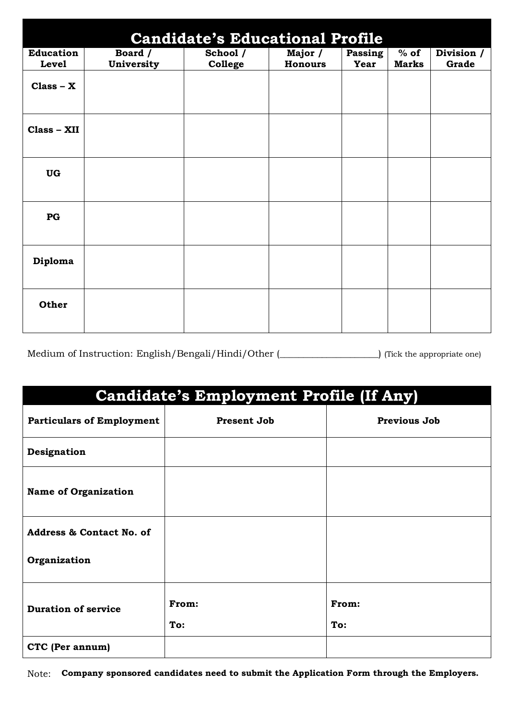| <b>Candidate's Educational Profile</b> |                       |                     |                           |                 |                        |                       |  |  |
|----------------------------------------|-----------------------|---------------------|---------------------------|-----------------|------------------------|-----------------------|--|--|
| <b>Education</b><br>Level              | Board /<br>University | School /<br>College | Major /<br><b>Honours</b> | Passing<br>Year | $%$ of<br><b>Marks</b> | Division $/$<br>Grade |  |  |
| $Class - X$                            |                       |                     |                           |                 |                        |                       |  |  |
| Class - XII                            |                       |                     |                           |                 |                        |                       |  |  |
| <b>UG</b>                              |                       |                     |                           |                 |                        |                       |  |  |
| PG                                     |                       |                     |                           |                 |                        |                       |  |  |
| Diploma                                |                       |                     |                           |                 |                        |                       |  |  |
| Other                                  |                       |                     |                           |                 |                        |                       |  |  |

Medium of Instruction: English/Bengali/Hindi/Other (Christian Lines appropriate one)

| <b>Candidate's Employment Profile (If Any)</b> |                    |                     |  |  |  |
|------------------------------------------------|--------------------|---------------------|--|--|--|
| <b>Particulars of Employment</b>               | <b>Present Job</b> | <b>Previous Job</b> |  |  |  |
| Designation                                    |                    |                     |  |  |  |
| <b>Name of Organization</b>                    |                    |                     |  |  |  |
| <b>Address &amp; Contact No. of</b>            |                    |                     |  |  |  |
| Organization                                   |                    |                     |  |  |  |
| <b>Duration of service</b>                     | From:<br>To:       | From:<br>To:        |  |  |  |
| CTC (Per annum)                                |                    |                     |  |  |  |

Note: **Company sponsored candidates need to submit the Application Form through the Employers.**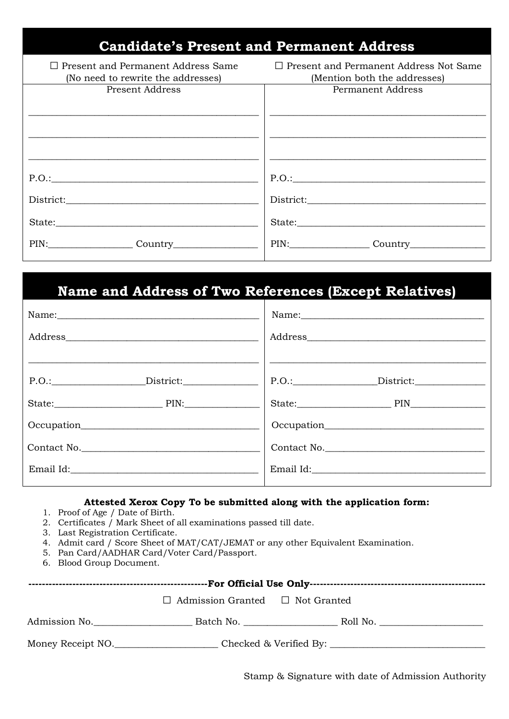| <b>Candidate's Present and Permanent Address</b>                                |                                                                               |
|---------------------------------------------------------------------------------|-------------------------------------------------------------------------------|
| $\Box$ Present and Permanent Address Same<br>(No need to rewrite the addresses) | $\Box$ Present and Permanent Address Not Same<br>(Mention both the addresses) |
| Present Address                                                                 | Permanent Address                                                             |
|                                                                                 |                                                                               |
|                                                                                 |                                                                               |
| P.O.:                                                                           | P.O.:                                                                         |
|                                                                                 |                                                                               |
| State:                                                                          | State:                                                                        |
| PIN: Country                                                                    | PIN: Country Country                                                          |

### **Name and Address of Two References (Except Relatives)**

| Name:           |                    |
|-----------------|--------------------|
|                 |                    |
|                 |                    |
| P.O.: District: | P.O.:<br>District: |
| State: PIN:     |                    |
|                 |                    |
| Contact No.     | Contact No.        |
| Email Id:       | Email Id:          |
|                 |                    |

#### **Attested Xerox Copy To be submitted along with the application form:**

- 1. Proof of Age / Date of Birth.
- 2. Certificates / Mark Sheet of all examinations passed till date.
- 3. Last Registration Certificate.
- 4. Admit card / Score Sheet of MAT/CAT/JEMAT or any other Equivalent Examination.
- 5. Pan Card/AADHAR Card/Voter Card/Passport.
- 6. Blood Group Document.

|                   | $\Box$ Admission Granted $\Box$ Not Granted |  |  |  |  |  |
|-------------------|---------------------------------------------|--|--|--|--|--|
| Admission No.     |                                             |  |  |  |  |  |
| Money Receipt NO. |                                             |  |  |  |  |  |

Stamp & Signature with date of Admission Authority